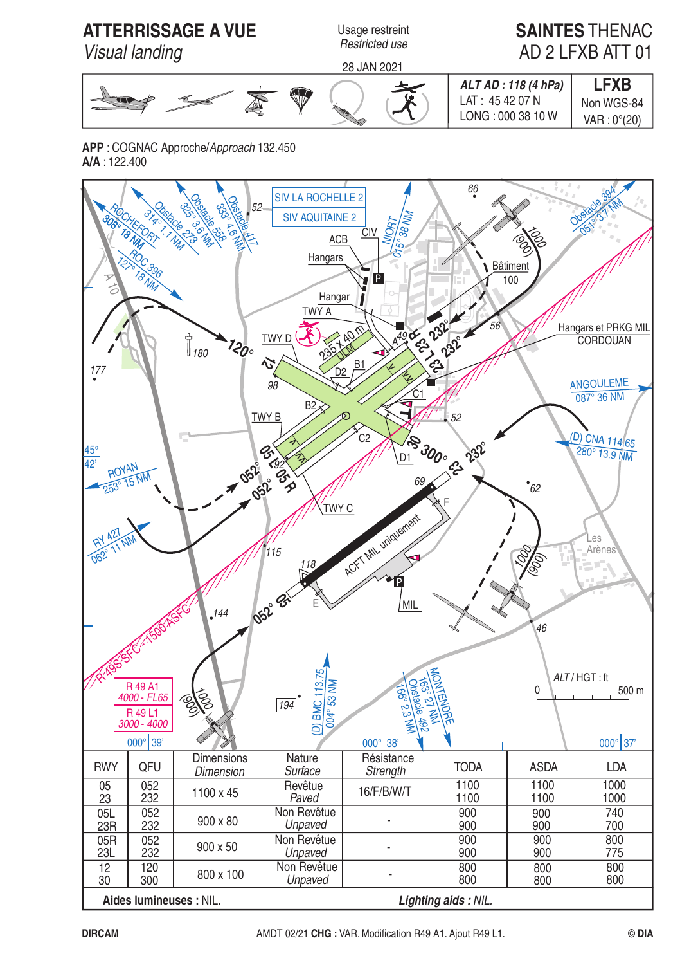

**APP** : COGNAC Approche/Approach 132.450  $A/A \cdot 122.400$ 

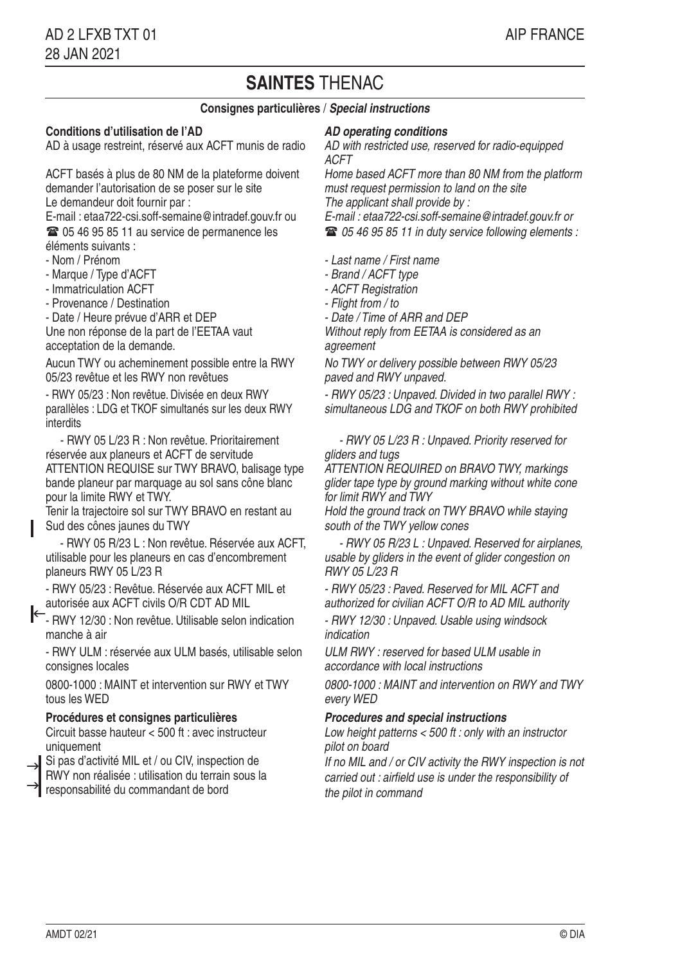# **SAINTES** THENAC

# **Consignes particulières** / **Special instructions**

# **Conditions d'utilisation de l'AD**

AD à usage restreint, réservé aux ACFT munis de radio

ACFT basés à plus de 80 NM de la plateforme doivent demander l'autorisation de se poser sur le site Le demandeur doit fournir par :

E-mail : etaa722-csi.soff-semaine@intradef.gouv.fr ou **■ 05 46 95 85 11 au service de permanence les** éléments suivants :

- Nom / Prénom

- Marque / Type d'ACFT

- Immatriculation ACFT

- Provenance / Destination

- Date / Heure prévue d'ARR et DEP

Une non réponse de la part de l'EETAA vaut acceptation de la demande.

Aucun TWY ou acheminement possible entre la RWY 05/23 revêtue et les RWY non revêtues

- RWY 05/23 : Non revêtue. Divisée en deux RWY parallèles : LDG et TKOF simultanés sur les deux RWY interdits

 - RWY 05 L/23 R : Non revêtue. Prioritairement réservée aux planeurs et ACFT de servitude ATTENTION REQUISE sur TWY BRAVO, balisage type bande planeur par marquage au sol sans cône blanc pour la limite RWY et TWY.

Tenir la trajectoire sol sur TWY BRAVO en restant au Sud des cônes jaunes du TWY

 - RWY 05 R/23 L : Non revêtue. Réservée aux ACFT, utilisable pour les planeurs en cas d'encombrement planeurs RWY 05 L/23 R

- RWY 05/23 : Revêtue. Réservée aux ACFT MIL et autorisée aux ACFT civils O/R CDT AD MIL

- RWY 12/30 : Non revêtue. Utilisable selon indication manche à air

- RWY ULM : réservée aux ULM basés, utilisable selon consignes locales

0800-1000 : MAINT et intervention sur RWY et TWY tous les WED

### **Procédures et consignes particulières**

Circuit basse hauteur < 500 ft : avec instructeur uniquement

Si pas d'activité MIL et / ou CIV, inspection de

 $\rightarrow$  SI pas d'activité MIL et / ou CIV, inspection de<br>RWY non réalisée : utilisation du terrain sous la

responsabilité du commandant de bord

### **AD operating conditions**

AD with restricted use, reserved for radio-equipped ACFT

Home based ACFT more than 80 NM from the platform must request permission to land on the site The applicant shall provide by :

E-mail : etaa722-csi.soff-semaine@intradef.gouv.fr or

05 46 95 85 11 in duty service following elements :

- Last name / First name
- Brand / ACFT type
- ACFT Registration
- Flight from / to
- Date / Time of ARR and DEP

Without reply from FFTAA is considered as an agreement

No TWY or delivery possible between RWY 05/23 paved and RWY unpaved.

- RWY 05/23 : Unpaved. Divided in two parallel RWY : simultaneous LDG and TKOF on both RWY prohibited

 - RWY 05 L/23 R : Unpaved. Priority reserved for gliders and tugs

ATTENTION REQUIRED on BRAVO TWY, markings glider tape type by ground marking without white cone for limit RWY and TWY

Hold the ground track on TWY BRAVO while staying south of the TWY yellow cones

 - RWY 05 R/23 L : Unpaved. Reserved for airplanes, usable by gliders in the event of glider congestion on RWY 05 L/23 R

- RWY 05/23 : Paved. Reserved for MIL ACFT and authorized for civilian ACFT O/R to AD MIL authority

- RWY 12/30 : Unpaved. Usable using windsock indication

ULM RWY : reserved for based ULM usable in accordance with local instructions

0800-1000 : MAINT and intervention on RWY and TWY every WED

### **Procedures and special instructions**

Low height patterns  $<$  500 ft : only with an instructor pilot on board

If no MIL and / or CIV activity the RWY inspection is not carried out : airfield use is under the responsibility of the pilot in command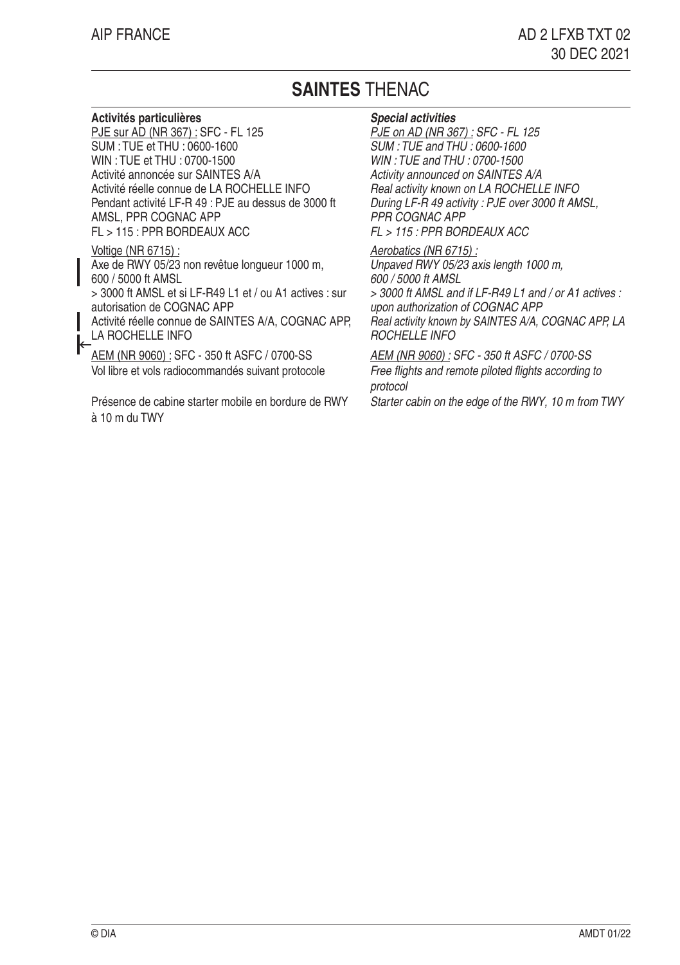# **SAINTES** THENAC

## **Activités particulières**

PJE sur AD (NR 367) : SFC - FL 125 SUM : TUE et THU : 0600-1600 WIN : TUE et THU : 0700-1500 Activité annoncée sur SAINTES A/A Activité réelle connue de LA ROCHELLE INFO Pendant activité LF-R 49 : PJE au dessus de 3000 ft AMSL, PPR COGNAC APP FL > 115 : PPR BORDEAUX ACC

### Voltige (NR 6715) :

Axe de RWY 05/23 non revêtue longueur 1000 m, 600 / 5000 ft AMSL

> 3000 ft AMSL et si LF-R49 L1 et / ou A1 actives : sur autorisation de COGNAC APP

Activité réelle connue de SAINTES A/A, COGNAC APP, LA ROCHELLE INFO

┝ AEM (NR 9060) : SFC - 350 ft ASFC / 0700-SS Vol libre et vols radiocommandés suivant protocole

Présence de cabine starter mobile en bordure de RWY à 10 m du TWY

### **Special activities**

PJE on AD (NR 367) : SFC - FL 125 SUM : TUE and THU : 0600-1600 WIN : TUE and THU : 0700-1500 Activity announced on SAINTES A/A Real activity known on LA ROCHELLE INFO During LF-R 49 activity : PJE over 3000 ft AMSL, PPR COGNAC APP FL > 115 : PPR BORDEAUX ACC

Aerobatics (NR 6715) : Unpaved RWY 05/23 axis length 1000 m, 600 / 5000 ft AMSL > 3000 ft AMSL and if LF-R49 L1 and / or A1 actives : upon authorization of COGNAC APP Real activity known by SAINTES A/A, COGNAC APP, LA

 $ROCHFI IF INFO$ AEM (NR 9060) : SFC - 350 ft ASFC / 0700-SS Free flights and remote piloted flights according to

protocol

Starter cabin on the edge of the RWY, 10 m from TWY